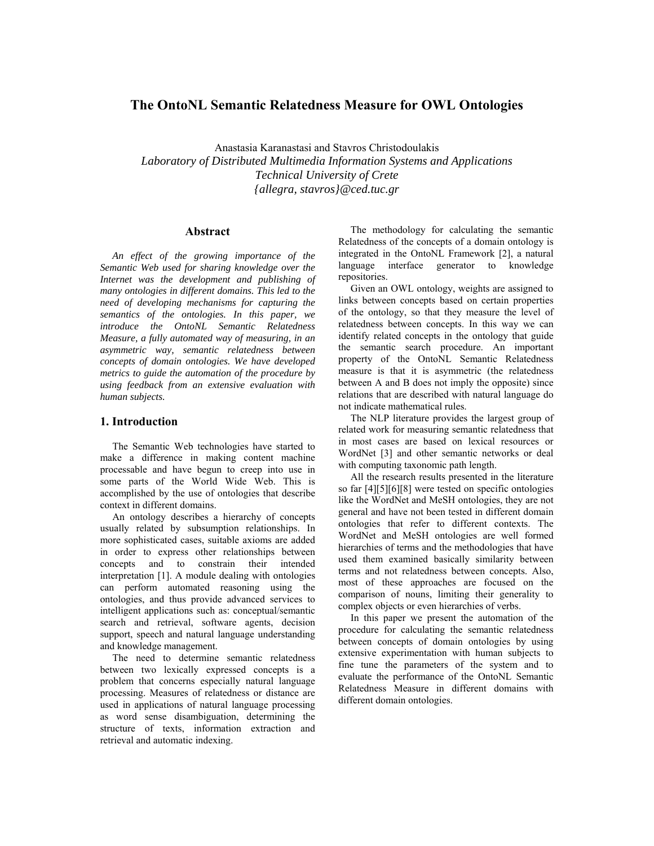# **The OntoNL Semantic Relatedness Measure for OWL Ontologies**

Anastasia Karanastasi and Stavros Christodoulakis *Laboratory of Distributed Multimedia Information Systems and Applications Technical University of Crete {allegra, stavros}@ced.tuc.gr* 

#### **Abstract**

*An effect of the growing importance of the Semantic Web used for sharing knowledge over the Internet was the development and publishing of many ontologies in different domains. This led to the need of developing mechanisms for capturing the semantics of the ontologies. In this paper, we introduce the OntoNL Semantic Relatedness Measure, a fully automated way of measuring, in an asymmetric way, semantic relatedness between concepts of domain ontologies. We have developed metrics to guide the automation of the procedure by using feedback from an extensive evaluation with human subjects.* 

#### **1. Introduction**

The Semantic Web technologies have started to make a difference in making content machine processable and have begun to creep into use in some parts of the World Wide Web. This is accomplished by the use of ontologies that describe context in different domains.

An ontology describes a hierarchy of concepts usually related by subsumption relationships. In more sophisticated cases, suitable axioms are added in order to express other relationships between concepts and to constrain their intended interpretation [1]. A module dealing with ontologies can perform automated reasoning using the ontologies, and thus provide advanced services to intelligent applications such as: conceptual/semantic search and retrieval, software agents, decision support, speech and natural language understanding and knowledge management.

The need to determine semantic relatedness between two lexically expressed concepts is a problem that concerns especially natural language processing. Measures of relatedness or distance are used in applications of natural language processing as word sense disambiguation, determining the structure of texts, information extraction and retrieval and automatic indexing.

The methodology for calculating the semantic Relatedness of the concepts of a domain ontology is integrated in the OntoNL Framework [2], a natural language interface generator to knowledge repositories.

Given an OWL ontology, weights are assigned to links between concepts based on certain properties of the ontology, so that they measure the level of relatedness between concepts. In this way we can identify related concepts in the ontology that guide the semantic search procedure. An important property of the OntoNL Semantic Relatedness measure is that it is asymmetric (the relatedness between A and B does not imply the opposite) since relations that are described with natural language do not indicate mathematical rules.

The NLP literature provides the largest group of related work for measuring semantic relatedness that in most cases are based on lexical resources or WordNet [3] and other semantic networks or deal with computing taxonomic path length.

All the research results presented in the literature so far [4][5][6][8] were tested on specific ontologies like the WordNet and MeSH ontologies, they are not general and have not been tested in different domain ontologies that refer to different contexts. The WordNet and MeSH ontologies are well formed hierarchies of terms and the methodologies that have used them examined basically similarity between terms and not relatedness between concepts. Also, most of these approaches are focused on the comparison of nouns, limiting their generality to complex objects or even hierarchies of verbs.

In this paper we present the automation of the procedure for calculating the semantic relatedness between concepts of domain ontologies by using extensive experimentation with human subjects to fine tune the parameters of the system and to evaluate the performance of the OntoNL Semantic Relatedness Measure in different domains with different domain ontologies.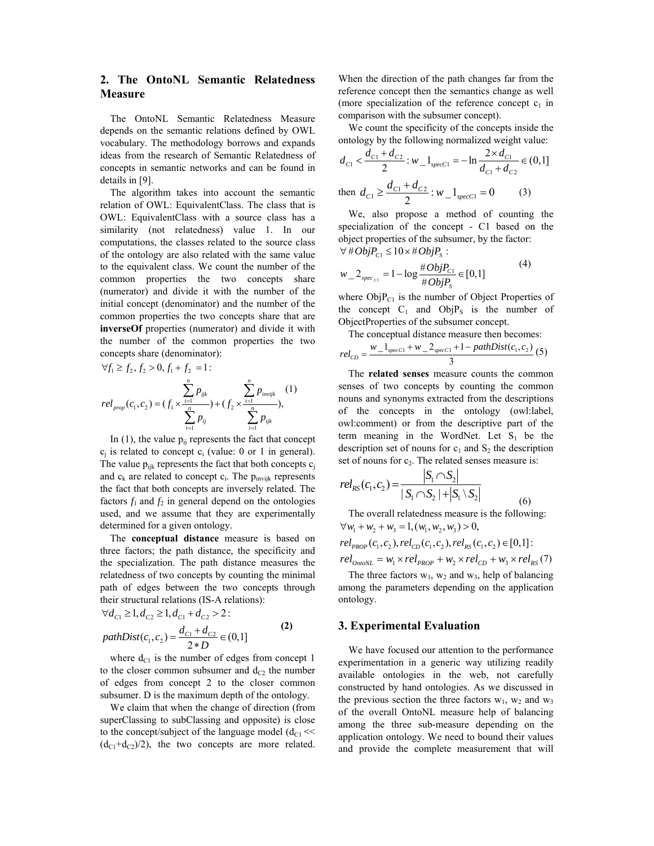# **2. The OntoNL Semantic Relatedness Measure**

The OntoNL Semantic Relatedness Measure depends on the semantic relations defined by OWL vocabulary. The methodology borrows and expands ideas from the research of Semantic Relatedness of concepts in semantic networks and can be found in details in [9].

The algorithm takes into account the semantic relation of OWL: EquivalentClass. The class that is OWL: EquivalentClass with a source class has a similarity (not relatedness) value 1. In our computations, the classes related to the source class of the ontology are also related with the same value to the equivalent class. We count the number of the common properties the two concepts share (numerator) and divide it with the number of the initial concept (denominator) and the number of the common properties the two concepts share that are **inverseOf** properties (numerator) and divide it with the number of the common properties the two concepts share (denominator):

$$
\forall f_1 \ge f_2, f_2 > 0, f_1 + f_2 = 1:
$$
  

$$
\sum_{i=1}^n p_{ijk} \sum_{j=1}^n p_{invijk} \quad (1)
$$
  

$$
rel_{prop}(c_1, c_2) = (f_1 \times \frac{i-1}{n} p_{ij} + (f_2 \times \frac{i-1}{n} p_{ij} p_{ij}),
$$

In  $(1)$ , the value  $p_{ii}$  represents the fact that concept  $c_j$  is related to concept  $c_i$  (value: 0 or 1 in general). The value  $p_{ijk}$  represents the fact that both concepts  $c_i$ and  $c_k$  are related to concept  $c_i$ . The  $p_{invijk}$  represents the fact that both concepts are inversely related. The factors  $f_1$  and  $f_2$  in general depend on the ontologies used, and we assume that they are experimentally determined for a given ontology.

The **conceptual distance** measure is based on three factors; the path distance, the specificity and the specialization. The path distance measures the relatedness of two concepts by counting the minimal path of edges between the two concepts through their structural relations (IS-A relations):

$$
\forall d_{C1} \ge 1, d_{C2} \ge 1, d_{C1} + d_{C2} > 2:
$$
  
\n
$$
pathDist(c_1, c_2) = \frac{d_{C1} + d_{C2}}{2*D} \in (0,1]
$$
 (2)

where  $d_{C1}$  is the number of edges from concept 1 to the closer common subsumer and  $d_{C2}$  the number of edges from concept 2 to the closer common subsumer. D is the maximum depth of the ontology.

We claim that when the change of direction (from superClassing to subClassing and opposite) is close to the concept/subject of the language model  $(d_{C1} \ll$  $(d_{C1} + d_{C2})/2$ , the two concepts are more related.

When the direction of the path changes far from the reference concept then the semantics change as well (more specialization of the reference concept  $c_1$  in comparison with the subsumer concept).

We count the specificity of the concepts inside the ontology by the following normalized weight value:

$$
d_{C1} < \frac{d_{C1} + d_{C2}}{2} : w_{-1_{specC1}} = -\ln \frac{2 \times d_{C1}}{d_{C1} + d_{C2}} \in (0,1]
$$
  
then 
$$
d_{C1} \ge \frac{d_{C1} + d_{C2}}{2} : w_{-1_{specC1}} = 0
$$
 (3)

We, also propose a method of counting the specialization of the concept - C1 based on the object properties of the subsumer, by the factor:  $\forall \# Obj P_{C1} \leq 10 \times \#Obj P_{S}$ :

$$
w_{-}2_{spec_{C1}} = 1 - \log \frac{\#ObjP_{C1}}{\#ObjP_{S}} \in [0,1]
$$
 (4)

where  $ObjP_{C1}$  is the number of Object Properties of the concept  $C_1$  and  $ObjP_S$  is the number of ObjectProperties of the subsumer concept.

The conceptual distance measure then becomes:  
\n
$$
rel_{CD} = \frac{w_1}{w_2} \frac{1_{specC1} + w_2}{w_2} \frac{2_{specC1} + 1 - pathDist(c_1, c_2)}{3} (5)
$$

The **related senses** measure counts the common senses of two concepts by counting the common nouns and synonyms extracted from the descriptions of the concepts in the ontology (owl:label, owl:comment) or from the descriptive part of the term meaning in the WordNet. Let  $S_1$  be the description set of nouns for  $c_1$  and  $S_2$  the description set of nouns for  $c<sub>2</sub>$ . The related senses measure is:

$$
rel_{RS}(c_1, c_2) = \frac{|S_1 \cap S_2|}{|S_1 \cap S_2| + |S_1 \setminus S_2|}
$$
(6)

The overall relatedness measure is the following:  $\forall w_1 + w_2 + w_3 = 1, (w_1, w_2, w_3) > 0,$ 

$$
rel_{PROP}(c_1, c_2), rel_{CD}(c_1, c_2), rel_{RS}(c_1, c_2) \in [0, 1]:
$$
  

$$
rel_{OntoNL} = w_1 \times rel_{PROP} + w_2 \times rel_{CD} + w_3 \times rel_{RS}(7)
$$

The three factors  $w_1$ ,  $w_2$  and  $w_3$ , help of balancing among the parameters depending on the application ontology.

#### **3. Experimental Evaluation**

We have focused our attention to the performance experimentation in a generic way utilizing readily available ontologies in the web, not carefully constructed by hand ontologies. As we discussed in the previous section the three factors  $w_1$ ,  $w_2$  and  $w_3$ of the overall OntoNL measure help of balancing among the three sub-measure depending on the application ontology. We need to bound their values and provide the complete measurement that will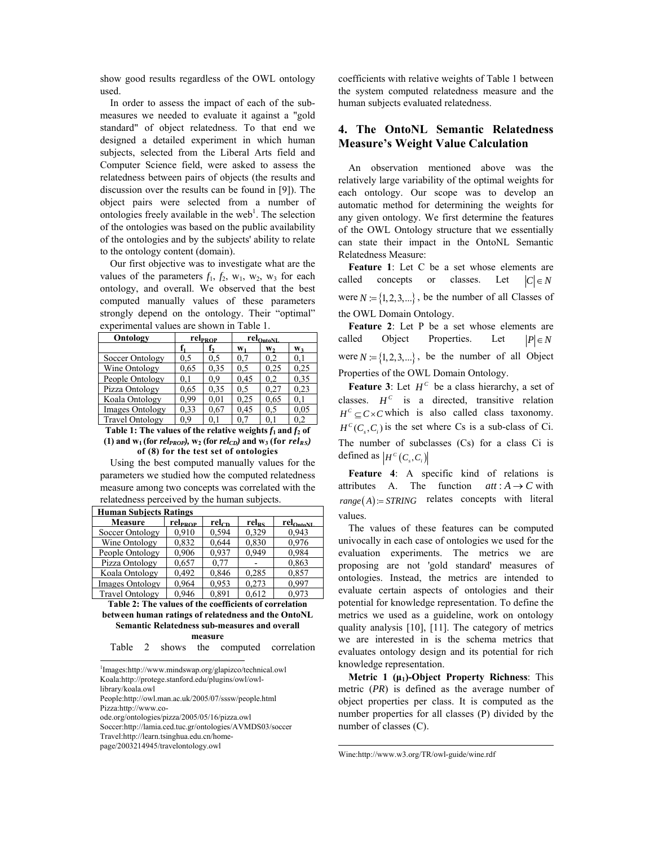show good results regardless of the OWL ontology used.

In order to assess the impact of each of the submeasures we needed to evaluate it against a "gold standard" of object relatedness. To that end we designed a detailed experiment in which human subjects, selected from the Liberal Arts field and Computer Science field, were asked to assess the relatedness between pairs of objects (the results and discussion over the results can be found in [9]). The object pairs were selected from a number of ontologies freely available in the web<sup>1</sup>. The selection of the ontologies was based on the public availability of the ontologies and by the subjects' ability to relate to the ontology content (domain).

Our first objective was to investigate what are the values of the parameters  $f_1$ ,  $f_2$ ,  $w_1$ ,  $w_2$ ,  $w_3$  for each ontology, and overall. We observed that the best computed manually values of these parameters strongly depend on the ontology. Their "optimal" experimental values are shown in Table 1.

| Ontology               | rel <sub>PROP</sub> |      | rel <sub>OntoNL</sub> |                |                |
|------------------------|---------------------|------|-----------------------|----------------|----------------|
|                        |                     | f,   | $W_1$                 | W <sub>2</sub> | W <sub>3</sub> |
| Soccer Ontology        | 0.5                 | 0.5  | 0.7                   | 0.2            | 0.1            |
| Wine Ontology          | 0.65                | 0.35 | 0.5                   | 0.25           | 0.25           |
| People Ontology        | 0.1                 | 0.9  | 0.45                  | 0.2            | 0.35           |
| Pizza Ontology         | 0.65                | 0.35 | 0.5                   | 0.27           | 0,23           |
| Koala Ontology         | 0.99                | 0.01 | 0.25                  | 0.65           | 0.1            |
| <b>Images Ontology</b> | 0.33                | 0,67 | 0.45                  | 0.5            | 0.05           |
| <b>Travel Ontology</b> | 09                  | 0.1  |                       | 0.1            | 0.2            |

**Table 1: The values of the relative weights**  $f_1$  **and**  $f_2$  **of**  $(1)$  and  $w_1$  (for  $rel_{PROP}$ ),  $w_2$  (for  $rel_{CD}$ ) and  $w_3$  (for  $rel_{RS}$ ) **of (8) for the test set of ontologies** 

Using the best computed manually values for the parameters we studied how the computed relatedness measure among two concepts was correlated with the relatedness perceived by the human subjects.

| <b>Human Subjects Ratings</b> |                     |            |                   |                       |
|-------------------------------|---------------------|------------|-------------------|-----------------------|
| Measure                       | rel <sub>PROP</sub> | $rel_{CD}$ | rel <sub>RS</sub> | rel <sub>OntoNL</sub> |
| Soccer Ontology               | 0.910               | 0.594      | 0,329             | 0.943                 |
| Wine Ontology                 | 0,832               | 0.644      | 0,830             | 0,976                 |
| People Ontology               | 0.906               | 0.937      | 0.949             | 0,984                 |
| Pizza Ontology                | 0,657               | 0.77       |                   | 0,863                 |
| Koala Ontology                | 0.492               | 0.846      | 0,285             | 0,857                 |
| <b>Images Ontology</b>        | 0.964               | 0,953      | 0.273             | 0.997                 |
| <b>Travel Ontology</b>        | 0.946               | 0.891      | 0.612             | 0.973                 |

**Table 2: The values of the coefficients of correlation between human ratings of relatedness and the OntoNL Semantic Relatedness sub-measures and overall measure** 

| Table | shows | the | computed | correlation |
|-------|-------|-----|----------|-------------|
|       |       |     |          |             |

1 Images:http://www.mindswap.org/glapizco/technical.owl Koala:http://protege.stanford.edu/plugins/owl/owl-

library/koala.owl

-

People:http://owl.man.ac.uk/2005/07/sssw/people.html Pizza:http://www.co-

Soccer:http://lamia.ced.tuc.gr/ontologies/AVMDS03/soccer

Travel:http://learn.tsinghua.edu.cn/home-

page/2003214945/travelontology.owl

coefficients with relative weights of Table 1 between the system computed relatedness measure and the human subjects evaluated relatedness.

# **4. The OntoNL Semantic Relatedness Measure's Weight Value Calculation**

An observation mentioned above was the relatively large variability of the optimal weights for each ontology. Our scope was to develop an automatic method for determining the weights for any given ontology. We first determine the features of the OWL Ontology structure that we essentially can state their impact in the OntoNL Semantic Relatedness Measure:

**Feature 1**: Let C be a set whose elements are called concepts or classes. Let  $|C| \in N$ were  $N = \{1, 2, 3, ...\}$ , be the number of all Classes of the OWL Domain Ontology.

**Feature 2**: Let P be a set whose elements are called Object Properties. Let  $|P| \in N$ were  $N = \{1, 2, 3, ...\}$ , be the number of all Object Properties of the OWL Domain Ontology.

**Feature 3**: Let  $H^c$  be a class hierarchy, a set of classes.  $H^c$  is a directed, transitive relation  $H^c \subset C \times C$  which is also called class taxonomy.  $H^{c}(C, C)$  is the set where Cs is a sub-class of Ci. The number of subclasses (Cs) for a class Ci is defined as  $| H^c(C_s, C_i) |$ 

**Feature 4**: A specific kind of relations is attributes A. The function  $att : A \rightarrow C$  with  $range(A) = STRING$  relates concepts with literal values.

The values of these features can be computed univocally in each case of ontologies we used for the evaluation experiments. The metrics we are proposing are not 'gold standard' measures of ontologies. Instead, the metrics are intended to evaluate certain aspects of ontologies and their potential for knowledge representation. To define the metrics we used as a guideline, work on ontology quality analysis [10], [11]. The category of metrics we are interested in is the schema metrics that evaluates ontology design and its potential for rich knowledge representation.

**Metric 1 (μ1)-Object Property Richness**: This metric (*PR*) is defined as the average number of object properties per class. It is computed as the number properties for all classes (P) divided by the number of classes (C).

Wine:http://www.w3.org/TR/owl-guide/wine.rdf

1

ode.org/ontologies/pizza/2005/05/16/pizza.owl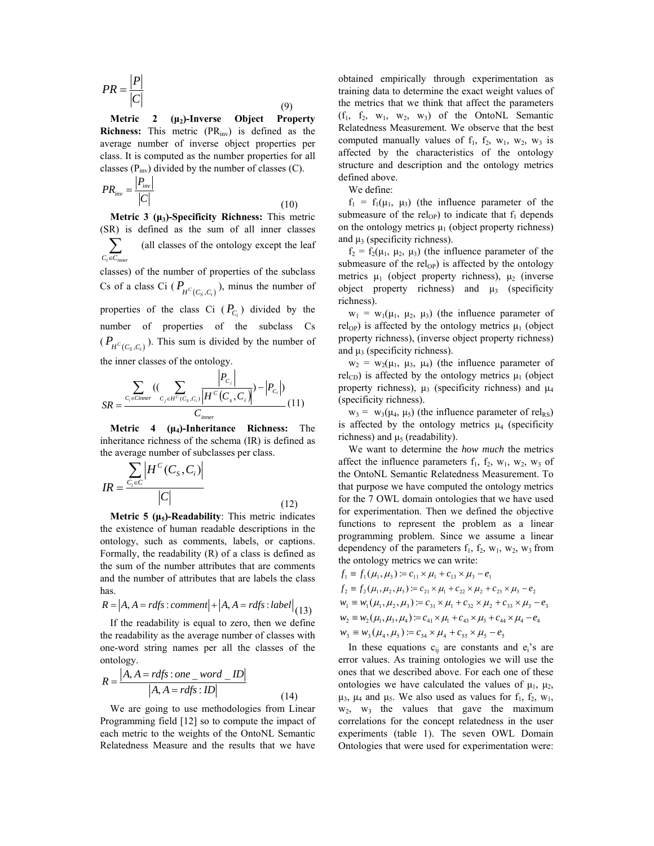$$
PR = \frac{|P|}{|C|} \tag{9}
$$

**Metric 2 (μ2)-Inverse Object Property Richness:** This metric (PR<sub>inv</sub>) is defined as the average number of inverse object properties per class. It is computed as the number properties for all classes  $(P_{inv})$  divided by the number of classes  $(C)$ .

$$
PR_{inv} = \frac{|P_{inv}|}{|C|}
$$
\n(10)

**Metric 3 (μ3)-Specificity Richness:** This metric (SR) is defined as the sum of all inner classes  $\sum_{C_i \in C_{inn}}$ ∑ (all classes of the ontology except the leaf classes) of the number of properties of the subclass Cs of a class Ci  $(P_{H^C(C_S, C_i)})$ , minus the number of properties of the class Ci  $(P_{C_i})$  divided by the number of properties of the subclass Cs

 $(P_{H^c(C_S, C_i)})$ . This sum is divided by the number of the inner classes of the ontology.

$$
SR = \frac{\sum_{C_i \in Cimer} ((\sum_{C_j \in H^C(C_S, C_i)} \frac{|P_{C_j}|}{|H^C(C_s, C_i)|}) - |P_{C_i}|)}{C_{inner}} (11)
$$

**Metric 4 (μ4)-Inheritance Richness:** The inheritance richness of the schema (IR) is defined as the average number of subclasses per class.

$$
IR = \frac{\sum_{C_i \in C} \left| H^C(C_S, C_i) \right|}{|C|}
$$
\n(12)

**Metric 5 (μ5)-Readability**: This metric indicates the existence of human readable descriptions in the ontology, such as comments, labels, or captions. Formally, the readability (R) of a class is defined as the sum of the number attributes that are comments and the number of attributes that are labels the class has.

$$
R = |A, A = rdfs:comment| + |A, A = rdfs:label| (13)
$$

If the readability is equal to zero, then we define the readability as the average number of classes with one-word string names per all the classes of the ontology.

$$
R = \frac{|A, A = rdfs : one \text{ } word \text{ } \text{ } ID|}{|A, A = rdfs : ID|}
$$
\n(14)

We are going to use methodologies from Linear Programming field [12] so to compute the impact of each metric to the weights of the OntoNL Semantic Relatedness Measure and the results that we have obtained empirically through experimentation as training data to determine the exact weight values of the metrics that we think that affect the parameters  $(f_1, f_2, w_1, w_2, w_3)$  of the OntoNL Semantic Relatedness Measurement. We observe that the best computed manually values of  $f_1$ ,  $f_2$ ,  $w_1$ ,  $w_2$ ,  $w_3$  is affected by the characteristics of the ontology structure and description and the ontology metrics defined above.

We define:

 $f_1 = f_1(\mu_1, \mu_3)$  (the influence parameter of the submeasure of the rel<sub>OP</sub>) to indicate that  $f_1$  depends on the ontology metrics  $\mu_1$  (object property richness) and  $\mu_3$  (specificity richness).

 $f_2 = f_2(\mu_1, \mu_2, \mu_3)$  (the influence parameter of the submeasure of the  $rel<sub>OP</sub>$ ) is affected by the ontology metrics  $\mu_1$  (object property richness),  $\mu_2$  (inverse object property richness) and  $\mu_3$  (specificity richness).

 $w_1 = w_1(\mu_1, \mu_2, \mu_3)$  (the influence parameter of rel<sub>OP</sub>) is affected by the ontology metrics  $\mu_1$  (object property richness), (inverse object property richness) and  $\mu_3$  (specificity richness).

 $w_2 = w_2(\mu_1, \mu_3, \mu_4)$  (the influence parameter of rel<sub>CD</sub>) is affected by the ontology metrics  $\mu_1$  (object property richness),  $\mu_3$  (specificity richness) and  $\mu_4$ (specificity richness).

 $w_3 = w_3(\mu_4, \mu_5)$  (the influence parameter of rel<sub>RS</sub>) is affected by the ontology metrics  $\mu_4$  (specificity richness) and  $\mu_5$  (readability).

We want to determine the *how much* the metrics affect the influence parameters  $f_1$ ,  $f_2$ ,  $w_1$ ,  $w_2$ ,  $w_3$  of the OntoNL Semantic Relatedness Measurement. To that purpose we have computed the ontology metrics for the 7 OWL domain ontologies that we have used for experimentation. Then we defined the objective functions to represent the problem as a linear programming problem. Since we assume a linear dependency of the parameters  $f_1$ ,  $f_2$ ,  $w_1$ ,  $w_2$ ,  $w_3$  from the ontology metrics we can write:

$$
f_1 \equiv f_1(\mu_1, \mu_3) := c_{11} \times \mu_1 + c_{13} \times \mu_3 - e_1
$$
  
\n
$$
f_2 \equiv f_2(\mu_1, \mu_2, \mu_3) := c_{21} \times \mu_1 + c_{22} \times \mu_2 + c_{23} \times \mu_3 - e_2
$$
  
\n
$$
w_1 \equiv w_1(\mu_1, \mu_2, \mu_3) := c_{31} \times \mu_1 + c_{32} \times \mu_2 + c_{33} \times \mu_3 - e_3
$$
  
\n
$$
w_2 \equiv w_2(\mu_1, \mu_3, \mu_4) := c_{41} \times \mu_1 + c_{43} \times \mu_3 + c_{44} \times \mu_4 - e_4
$$
  
\n
$$
w_3 \equiv w_3(\mu_4, \mu_5) := c_{54} \times \mu_4 + c_{55} \times \mu_5 - e_5
$$

In these equations  $c_{ii}$  are constants and  $e_i$ 's are error values. As training ontologies we will use the ones that we described above. For each one of these ontologies we have calculated the values of  $\mu_1$ ,  $\mu_2$ , μ<sub>3</sub>, μ<sub>4</sub> and μ<sub>5</sub>. We also used as values for  $f_1$ ,  $f_2$ , w<sub>1</sub>,  $w_2$ ,  $w_3$  the values that gave the maximum correlations for the concept relatedness in the user experiments (table 1). The seven OWL Domain Ontologies that were used for experimentation were: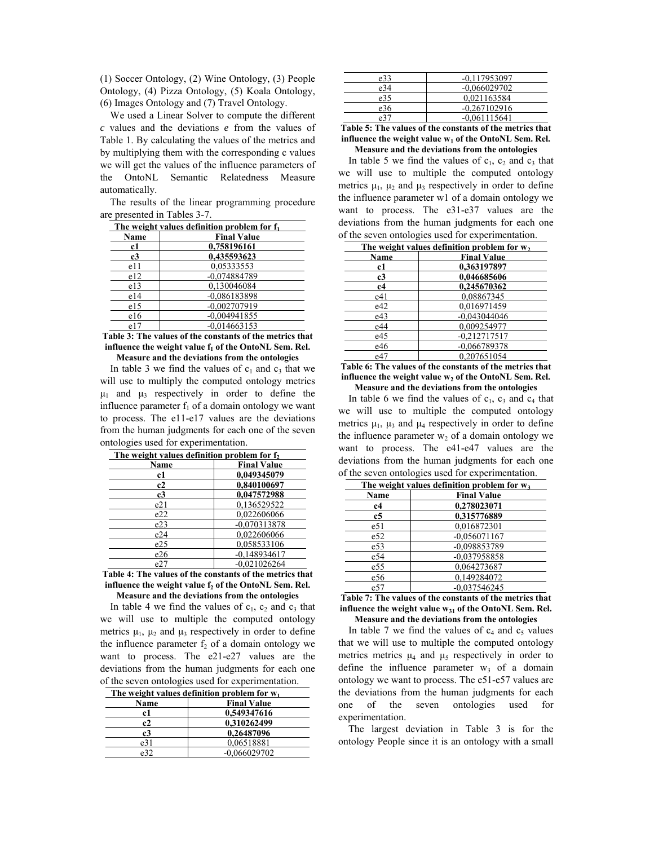(1) Soccer Ontology, (2) Wine Ontology, (3) People Ontology, (4) Pizza Ontology, (5) Koala Ontology, (6) Images Ontology and (7) Travel Ontology.

We used a Linear Solver to compute the different *c* values and the deviations *e* from the values of Table 1. By calculating the values of the metrics and by multiplying them with the corresponding c values we will get the values of the influence parameters of the OntoNL Semantic Relatedness Measure automatically.

The results of the linear programming procedure are presented in Tables 3-7.

| The weight values definition problem for f <sub>1</sub> |                    |  |
|---------------------------------------------------------|--------------------|--|
| Name                                                    | <b>Final Value</b> |  |
| c1                                                      | 0,758196161        |  |
| c3                                                      | 0.435593623        |  |
| e11                                                     | 0.05333553         |  |
| e12                                                     | $-0.074884789$     |  |
| e13                                                     | 0.130046084        |  |
| e14                                                     | $-0.086183898$     |  |
| e15                                                     | $-0.002707919$     |  |
| e16                                                     | $-0.004941855$     |  |
| e17                                                     | $-0.014663153$     |  |

**Table 3: The values of the constants of the metrics that**  influence the weight value  $f_1$  of the OntoNL Sem. Rel. **Measure and the deviations from the ontologies** 

In table 3 we find the values of  $c_1$  and  $c_3$  that we will use to multiply the computed ontology metrics  $\mu_1$  and  $\mu_3$  respectively in order to define the influence parameter  $f_1$  of a domain ontology we want to process. The e11-e17 values are the deviations from the human judgments for each one of the seven ontologies used for experimentation.

| The weight values definition problem for f |                    |  |
|--------------------------------------------|--------------------|--|
| Name                                       | <b>Final Value</b> |  |
| c1                                         | 0.049345079        |  |
| c2                                         | 0.840100697        |  |
| c3                                         | 0.047572988        |  |
| e21                                        | 0.136529522        |  |
| e22                                        | 0.022606066        |  |
| e23                                        | $-0.070313878$     |  |
| e24                                        | 0.022606066        |  |
| e25                                        | 0.058533106        |  |
| e26                                        | $-0.148934617$     |  |
| e27                                        | $-0.021026264$     |  |

**Table 4: The values of the constants of the metrics that**  influence the weight value f<sub>2</sub> of the OntoNL Sem. Rel. **Measure and the deviations from the ontologies** 

In table 4 we find the values of  $c_1$ ,  $c_2$  and  $c_3$  that we will use to multiple the computed ontology metrics  $\mu_1$ ,  $\mu_2$  and  $\mu_3$  respectively in order to define the influence parameter  $f_2$  of a domain ontology we want to process. The e21-e27 values are the deviations from the human judgments for each one of the seven ontologies used for experimentation.

| The weight values definition problem for $w_1$ |                    |  |
|------------------------------------------------|--------------------|--|
| Name                                           | <b>Final Value</b> |  |
| c1                                             | 0.549347616        |  |
| c2                                             | 0.310262499        |  |
| c3                                             | 0.26487096         |  |
| e31                                            | 0.06518881         |  |
|                                                | $-0.066029702$     |  |

| e33 | $-0.117953097$ |
|-----|----------------|
| e34 | $-0.066029702$ |
| e35 | 0.021163584    |
| e36 | $-0.267102916$ |
| e31 | $-0.061115641$ |

**Table 5: The values of the constants of the metrics that**  influence the weight value w<sub>1</sub> of the OntoNL Sem. Rel. **Measure and the deviations from the ontologies** 

In table 5 we find the values of  $c_1$ ,  $c_2$  and  $c_3$  that we will use to multiple the computed ontology metrics  $\mu_1$ ,  $\mu_2$  and  $\mu_3$  respectively in order to define the influence parameter w1 of a domain ontology we want to process. The e31-e37 values are the deviations from the human judgments for each one of the seven ontologies used for experimentation.

| The weight values definition problem for $w_2$ |                    |  |
|------------------------------------------------|--------------------|--|
| Name                                           | <b>Final Value</b> |  |
| c1                                             | 0.363197897        |  |
| c3                                             | 0,046685606        |  |
| c4                                             | 0.245670362        |  |
| e41                                            | 0.08867345         |  |
| e42                                            | 0.016971459        |  |
| e43                                            | $-0.043044046$     |  |
| e44                                            | 0.009254977        |  |
| e45                                            | $-0.212717517$     |  |
| e46                                            | $-0.066789378$     |  |
| e47                                            | 0.207651054        |  |

**Table 6: The values of the constants of the metrics that**  influence the weight value w<sub>2</sub> of the OntoNL Sem. Rel. **Measure and the deviations from the ontologies** 

In table 6 we find the values of  $c_1$ ,  $c_3$  and  $c_4$  that we will use to multiple the computed ontology metrics  $\mu_1$ ,  $\mu_3$  and  $\mu_4$  respectively in order to define the influence parameter  $w_2$  of a domain ontology we want to process. The e41-e47 values are the deviations from the human judgments for each one of the seven ontologies used for experimentation.

| The weight values definition problem for $w_3$ |                    |  |
|------------------------------------------------|--------------------|--|
| <b>Name</b>                                    | <b>Final Value</b> |  |
| c4                                             | 0,278023071        |  |
| c5                                             | 0,315776889        |  |
| e51                                            | 0,016872301        |  |
| e52                                            | $-0.056071167$     |  |
| e <sub>53</sub>                                | -0.098853789       |  |
| e54                                            | $-0.037958858$     |  |
| e55                                            | 0,064273687        |  |
| e56                                            | 0,149284072        |  |
| e57                                            | $-0.037546245$     |  |

**Table 7: The values of the constants of the metrics that**  influence the weight value w<sub>31</sub> of the OntoNL Sem. Rel. **Measure and the deviations from the ontologies** 

In table 7 we find the values of  $c_4$  and  $c_5$  values that we will use to multiple the computed ontology metrics metrics  $\mu_4$  and  $\mu_5$  respectively in order to define the influence parameter  $w_3$  of a domain ontology we want to process. The e51-e57 values are the deviations from the human judgments for each one of the seven ontologies used for experimentation.

The largest deviation in Table 3 is for the ontology People since it is an ontology with a small